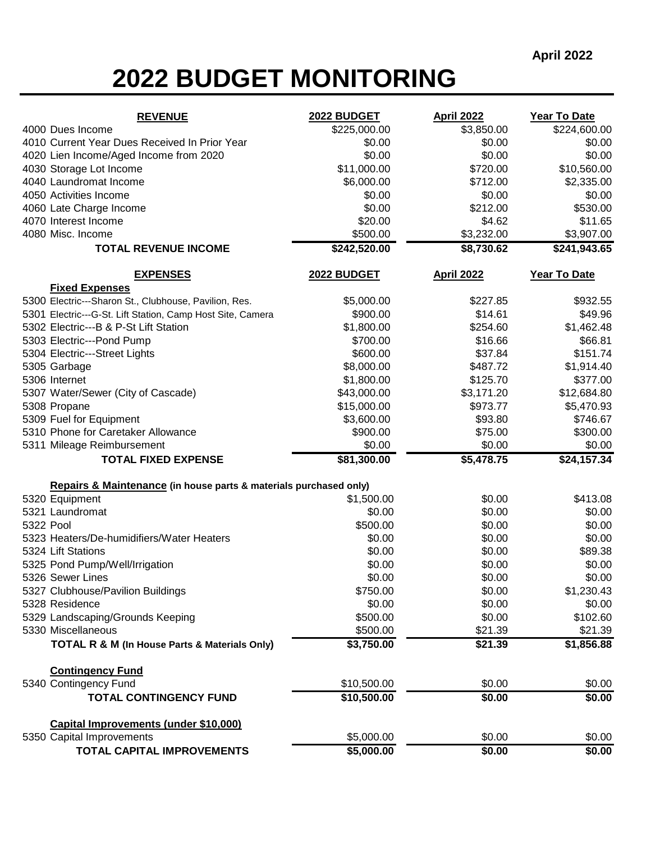## **2022 BUDGET MONITORING**

| <b>REVENUE</b>                                                    | 2022 BUDGET  | <b>April 2022</b> | Year To Date   |
|-------------------------------------------------------------------|--------------|-------------------|----------------|
| 4000 Dues Income                                                  | \$225,000.00 | \$3,850.00        | \$224,600.00   |
| 4010 Current Year Dues Received In Prior Year                     | \$0.00       | \$0.00            | \$0.00         |
| 4020 Lien Income/Aged Income from 2020                            | \$0.00       | \$0.00            | \$0.00         |
| 4030 Storage Lot Income                                           | \$11,000.00  | \$720.00          | \$10,560.00    |
| 4040 Laundromat Income                                            | \$6,000.00   | \$712.00          | \$2,335.00     |
| 4050 Activities Income                                            | \$0.00       | \$0.00            | \$0.00         |
| 4060 Late Charge Income                                           | \$0.00       | \$212.00          | \$530.00       |
| 4070 Interest Income                                              | \$20.00      | \$4.62            | \$11.65        |
| 4080 Misc. Income                                                 | \$500.00     | \$3,232.00        | \$3,907.00     |
| <b>TOTAL REVENUE INCOME</b>                                       | \$242,520.00 | \$8,730.62        | \$241,943.65   |
| <b>EXPENSES</b>                                                   | 2022 BUDGET  | <b>April 2022</b> | Year To Date   |
| <b>Fixed Expenses</b>                                             |              |                   |                |
| 5300 Electric---Sharon St., Clubhouse, Pavilion, Res.             | \$5,000.00   | \$227.85          | \$932.55       |
| 5301 Electric---G-St. Lift Station, Camp Host Site, Camera        | \$900.00     | \$14.61           | \$49.96        |
| 5302 Electric---B & P-St Lift Station                             | \$1,800.00   | \$254.60          | \$1,462.48     |
| 5303 Electric---Pond Pump                                         | \$700.00     | \$16.66           | \$66.81        |
| 5304 Electric---Street Lights                                     | \$600.00     | \$37.84           | \$151.74       |
| 5305 Garbage                                                      | \$8,000.00   | \$487.72          | \$1,914.40     |
| 5306 Internet                                                     | \$1,800.00   | \$125.70          | \$377.00       |
| 5307 Water/Sewer (City of Cascade)                                | \$43,000.00  | \$3,171.20        | \$12,684.80    |
| 5308 Propane                                                      | \$15,000.00  | \$973.77          | \$5,470.93     |
| 5309 Fuel for Equipment                                           | \$3,600.00   | \$93.80           | \$746.67       |
| 5310 Phone for Caretaker Allowance                                | \$900.00     | \$75.00           | \$300.00       |
| 5311 Mileage Reimbursement                                        | \$0.00       | \$0.00            | \$0.00         |
| <b>TOTAL FIXED EXPENSE</b>                                        | \$81,300.00  | \$5,478.75        | \$24,157.34    |
| Repairs & Maintenance (in house parts & materials purchased only) |              |                   |                |
| 5320 Equipment                                                    | \$1,500.00   | \$0.00            | \$413.08       |
| 5321 Laundromat                                                   | \$0.00       | \$0.00            | \$0.00         |
| 5322 Pool                                                         | \$500.00     | \$0.00            | \$0.00         |
| 5323 Heaters/De-humidifiers/Water Heaters                         | \$0.00       | \$0.00            | \$0.00         |
| 5324 Lift Stations                                                | \$0.00       | \$0.00            | \$89.38        |
| 5325 Pond Pump/Well/Irrigation                                    | \$0.00       | \$0.00            | \$0.00         |
| 5326 Sewer Lines                                                  | \$0.00       | \$0.00            | \$0.00         |
| 5327 Clubhouse/Pavilion Buildings                                 | \$750.00     | \$0.00            | \$1,230.43     |
| 5328 Residence                                                    | \$0.00       | \$0.00            | \$0.00         |
| 5329 Landscaping/Grounds Keeping                                  | \$500.00     | \$0.00            | \$102.60       |
| 5330 Miscellaneous                                                | \$500.00     | \$21.39           | \$21.39        |
| <b>TOTAL R &amp; M (In House Parts &amp; Materials Only)</b>      | \$3,750.00   | \$21.39           | \$1,856.88     |
| <b>Contingency Fund</b>                                           |              |                   |                |
| 5340 Contingency Fund                                             | \$10,500.00  | \$0.00            | \$0.00         |
| <b>TOTAL CONTINGENCY FUND</b>                                     | \$10,500.00  | \$0.00            | $\sqrt{$0.00}$ |
| Capital Improvements (under \$10,000)                             |              |                   |                |
| 5350 Capital Improvements                                         | \$5,000.00   | \$0.00            | \$0.00         |
| TOTAL CAPITAL IMPROVEMENTS                                        | \$5,000.00   | \$0.00            | \$0.00         |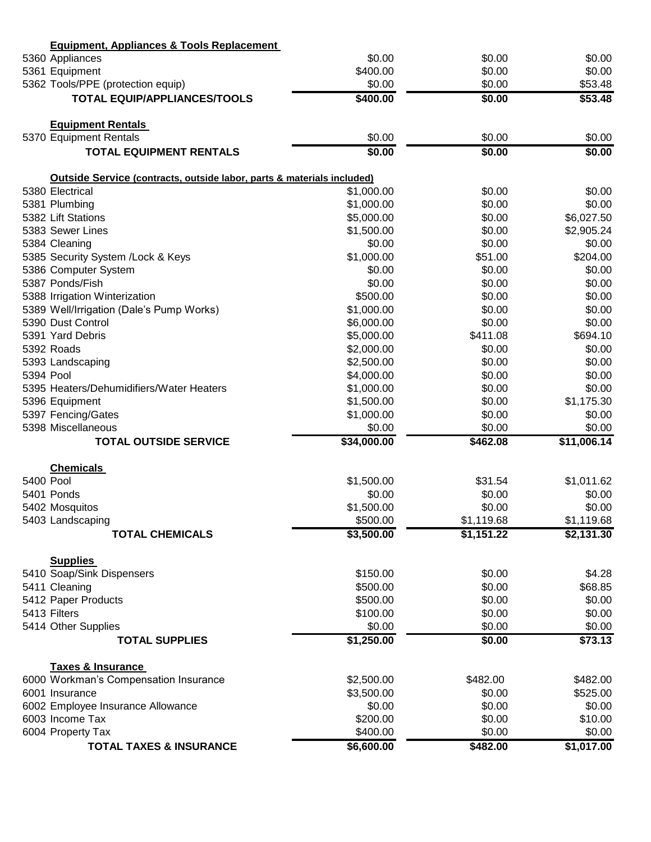|           | <b>Equipment, Appliances &amp; Tools Replacement</b>                   |                          |                  |                      |
|-----------|------------------------------------------------------------------------|--------------------------|------------------|----------------------|
|           | 5360 Appliances                                                        | \$0.00                   | \$0.00           | \$0.00               |
|           | 5361 Equipment                                                         | \$400.00                 | \$0.00           | \$0.00               |
|           | 5362 Tools/PPE (protection equip)                                      | \$0.00                   | \$0.00           | \$53.48              |
|           | <b>TOTAL EQUIP/APPLIANCES/TOOLS</b>                                    | \$400.00                 | \$0.00           | \$53.48              |
|           | <b>Equipment Rentals</b>                                               |                          |                  |                      |
|           | 5370 Equipment Rentals                                                 | \$0.00                   | \$0.00           | \$0.00               |
|           | <b>TOTAL EQUIPMENT RENTALS</b>                                         | \$0.00                   | \$0.00           | \$0.00               |
|           | Outside Service (contracts, outside labor, parts & materials included) |                          |                  |                      |
|           | 5380 Electrical                                                        | \$1,000.00               | \$0.00           | \$0.00               |
|           | 5381 Plumbing                                                          | \$1,000.00               | \$0.00           | \$0.00               |
|           | 5382 Lift Stations                                                     | \$5,000.00               | \$0.00           | \$6,027.50           |
|           | 5383 Sewer Lines                                                       | \$1,500.00               | \$0.00           | \$2,905.24           |
|           | 5384 Cleaning                                                          | \$0.00                   | \$0.00           | \$0.00               |
|           | 5385 Security System /Lock & Keys                                      | \$1,000.00               | \$51.00          | \$204.00             |
|           | 5386 Computer System                                                   | \$0.00                   | \$0.00           | \$0.00               |
|           | 5387 Ponds/Fish                                                        | \$0.00                   | \$0.00           | \$0.00               |
|           | 5388 Irrigation Winterization                                          | \$500.00                 | \$0.00           | \$0.00               |
|           | 5389 Well/Irrigation (Dale's Pump Works)                               | \$1,000.00               | \$0.00           | \$0.00               |
|           | 5390 Dust Control                                                      | \$6,000.00               | \$0.00           | \$0.00               |
|           | 5391 Yard Debris                                                       | \$5,000.00               | \$411.08         | \$694.10             |
|           | 5392 Roads                                                             | \$2,000.00               | \$0.00           | \$0.00               |
|           | 5393 Landscaping                                                       | \$2,500.00               | \$0.00           | \$0.00               |
| 5394 Pool |                                                                        | \$4,000.00               | \$0.00           | \$0.00               |
|           | 5395 Heaters/Dehumidifiers/Water Heaters                               | \$1,000.00               | \$0.00           | \$0.00               |
|           | 5396 Equipment                                                         | \$1,500.00               | \$0.00           | \$1,175.30           |
|           | 5397 Fencing/Gates                                                     | \$1,000.00               | \$0.00           | \$0.00               |
|           | 5398 Miscellaneous                                                     | \$0.00                   | \$0.00           | \$0.00               |
|           | <b>TOTAL OUTSIDE SERVICE</b>                                           | \$34,000.00              | \$462.08         | \$11,006.14          |
|           | <b>Chemicals</b>                                                       |                          |                  |                      |
| 5400 Pool |                                                                        | \$1,500.00               | \$31.54          | \$1,011.62           |
|           | 5401 Ponds                                                             | \$0.00                   | \$0.00           | \$0.00               |
|           | 5402 Mosquitos                                                         | \$1,500.00               | \$0.00           | \$0.00               |
|           | 5403 Landscaping                                                       | \$500.00                 | \$1,119.68       | \$1,119.68           |
|           | <b>TOTAL CHEMICALS</b>                                                 | \$3,500.00               | \$1,151.22       | \$2,131.30           |
|           | <b>Supplies</b>                                                        |                          |                  |                      |
|           | 5410 Soap/Sink Dispensers                                              | \$150.00                 | \$0.00           | \$4.28               |
|           | 5411 Cleaning                                                          | \$500.00                 | \$0.00           | \$68.85              |
|           | 5412 Paper Products                                                    | \$500.00                 | \$0.00           | \$0.00               |
|           | 5413 Filters                                                           | \$100.00                 | \$0.00           | \$0.00               |
|           | 5414 Other Supplies                                                    | \$0.00                   | \$0.00           | \$0.00               |
|           | <b>TOTAL SUPPLIES</b>                                                  | \$1,250.00               | \$0.00           | \$73.13              |
|           | <b>Taxes &amp; Insurance</b>                                           |                          |                  |                      |
|           | 6000 Workman's Compensation Insurance                                  | \$2,500.00<br>\$3,500.00 | \$482.00         | \$482.00<br>\$525.00 |
|           | 6001 Insurance                                                         | \$0.00                   | \$0.00<br>\$0.00 | \$0.00               |
|           | 6002 Employee Insurance Allowance<br>6003 Income Tax                   | \$200.00                 | \$0.00           | \$10.00              |
|           | 6004 Property Tax                                                      | \$400.00                 | \$0.00           | \$0.00               |
|           | <b>TOTAL TAXES &amp; INSURANCE</b>                                     | \$6,600.00               | \$482.00         | \$1,017.00           |
|           |                                                                        |                          |                  |                      |